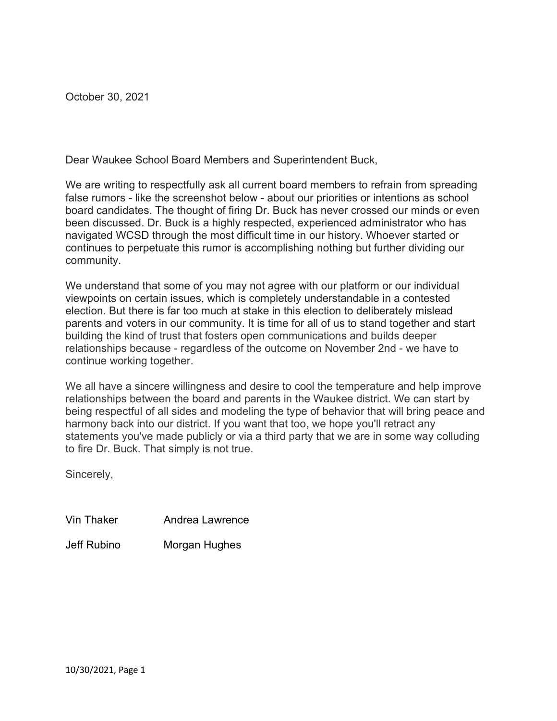October 30, 2021

Dear Waukee School Board Members and Superintendent Buck,

We are writing to respectfully ask all current board members to refrain from spreading false rumors - like the screenshot below - about our priorities or intentions as school board candidates. The thought of firing Dr. Buck has never crossed our minds or even been discussed. Dr. Buck is a highly respected, experienced administrator who has navigated WCSD through the most difficult time in our history. Whoever started or continues to perpetuate this rumor is accomplishing nothing but further dividing our community.

We understand that some of you may not agree with our platform or our individual viewpoints on certain issues, which is completely understandable in a contested election. But there is far too much at stake in this election to deliberately mislead parents and voters in our community. It is time for all of us to stand together and start building the kind of trust that fosters open communications and builds deeper relationships because - regardless of the outcome on November 2nd - we have to continue working together.

We all have a sincere willingness and desire to cool the temperature and help improve relationships between the board and parents in the Waukee district. We can start by being respectful of all sides and modeling the type of behavior that will bring peace and harmony back into our district. If you want that too, we hope you'll retract any statements you've made publicly or via a third party that we are in some way colluding to fire Dr. Buck. That simply is not true.

Sincerely,

Vin Thaker Andrea Lawrence

Jeff Rubino Morgan Hughes